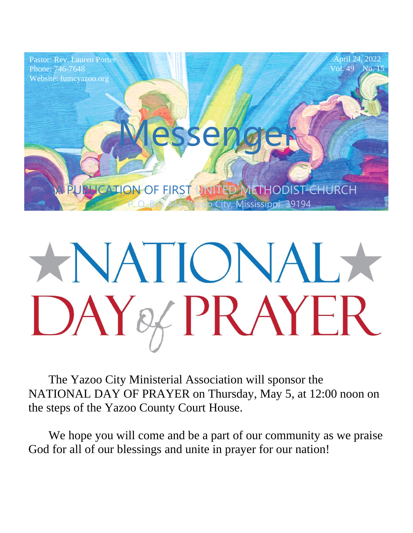

# XNATIONALX DAY& PRAYER

The Yazoo City Ministerial Association will sponsor the NATIONAL DAY OF PRAYER on Thursday, May 5, at 12:00 noon on the steps of the Yazoo County Court House.

We hope you will come and be a part of our community as we praise God for all of our blessings and unite in prayer for our nation!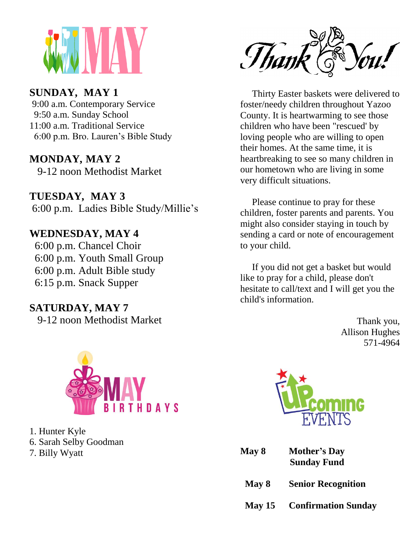

#### **SUNDAY***,* **MAY 1**

6:00 p.m. Bro. Lauren's Bible Study 9:00 a.m. Contemporary Service 9:50 a.m. Sunday School 11:00 a.m. Traditional Service

#### **MONDAY, MAY 2**

9-12 noon Methodist Market  $\frac{2}{7}$   $\frac{1}{6}$   $\frac{1}{8}$ 

**TUESDAY***,* **MAY 3** 6:00 p.m. Ladies Bible Study/Millie's

#### **WEDNESDAY, MAY 4**

6:00 p.m. Chancel Choir 6:00 p.m. Youth Small Group 6:00 p.m. Adult Bible study 6:15 p.m. Snack Supper

#### **SATURDAY, MAY 7**

9-12 noon Methodist Market



1. Hunter Kyle 6. Sarah Selby Goodman 7. Billy Wyatt



ist Market our hometown who are living in some<br>very difficult situations Thirty Easter baskets were delivered to foster/needy children throughout Yazoo County. It is heartwarming to see those children who have been "rescued' by loving people who are willing to open their homes. At the same time, it is heartbreaking to see so many children in very difficult situations.

> Please continue to pray for these children, foster parents and parents. You might also consider staying in touch by sending a card or note of encouragement to your child.

> If you did not get a basket but would like to pray for a child, please don't hesitate to call/text and I will get you the child's information.

> > Thank you, Allison Hughes 571-4964



| May 8 | <b>Mother's Day</b> |
|-------|---------------------|
|       | <b>Sunday Fund</b>  |

- **May 8 Senior Recognition**
- **May 15 Confirmation Sunday**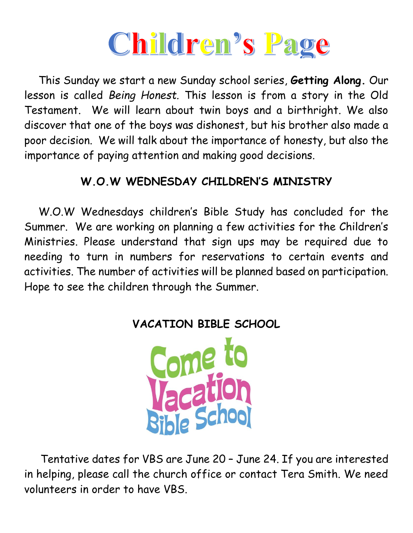

 This Sunday we start a new Sunday school series, **Getting Along.** Our lesson is called *Being Honest.* This lesson is from a story in the Old Testament. We will learn about twin boys and a birthright. We also discover that one of the boys was dishonest, but his brother also made a poor decision. We will talk about the importance of honesty, but also the importance of paying attention and making good decisions.

#### **W.O.W WEDNESDAY CHILDREN'S MINISTRY**

 W.O.W Wednesdays children's Bible Study has concluded for the Summer. We are working on planning a few activities for the Children's Ministries. Please understand that sign ups may be required due to needing to turn in numbers for reservations to certain events and activities. The number of activities will be planned based on participation. Hope to see the children through the Summer.





 Tentative dates for VBS are June 20 – June 24. If you are interested in helping, please call the church office or contact Tera Smith. We need volunteers in order to have VBS.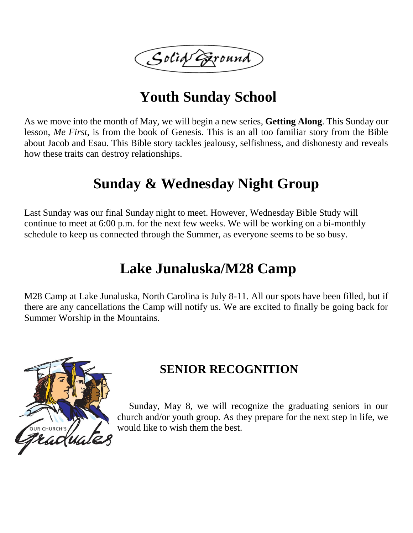Solid Eround

# **Youth Sunday School**

As we move into the month of May, we will begin a new series, **Getting Along**. This Sunday our lesson, *Me First,* is from the book of Genesis. This is an all too familiar story from the Bible about Jacob and Esau. This Bible story tackles jealousy, selfishness, and dishonesty and reveals how these traits can destroy relationships.

## **Sunday & Wednesday Night Group**

Last Sunday was our final Sunday night to meet. However, Wednesday Bible Study will continue to meet at 6:00 p.m. for the next few weeks. We will be working on a bi-monthly schedule to keep us connected through the Summer, as everyone seems to be so busy.

## **Lake Junaluska/M28 Camp**

M28 Camp at Lake Junaluska, North Carolina is July 8-11. All our spots have been filled, but if there are any cancellations the Camp will notify us. We are excited to finally be going back for Summer Worship in the Mountains.



#### **SENIOR RECOGNITION**

 Sunday, May 8, we will recognize the graduating seniors in our church and/or youth group. As they prepare for the next step in life, we would like to wish them the best.